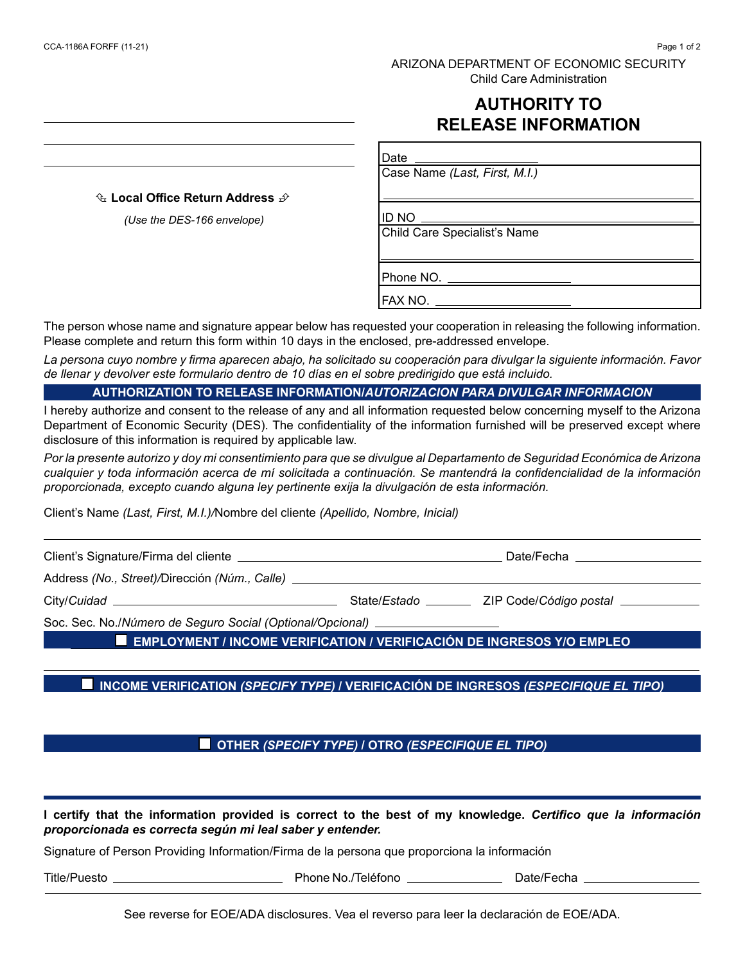### ARIZONA DEPARTMENT OF ECONOMIC SECURITY Child Care Administration

# **AUTHORITY TO RELEASE INFORMATION**

 **Local Office Return Address** 

*(Use the DES-166 envelope)*

Case Name *(Last, First, M.I.)*

ID NO

Date

Child Care Specialist's Name

Phone NO. \_\_\_\_\_\_\_\_\_\_\_\_\_\_\_\_\_\_\_\_\_\_\_\_

FAX NO.

The person whose name and signature appear below has requested your cooperation in releasing the following information. Please complete and return this form within 10 days in the enclosed, pre-addressed envelope.

*La persona cuyo nombre y firma aparecen abajo, ha solicitado su cooperación para divulgar la siguiente información. Favor de llenar y devolver este formulario dentro de 10 días en el sobre predirigido que está incluido.*

#### **AUTHORIZATION TO RELEASE INFORMATION/***AUTORIZACION PARA DIVULGAR INFORMACION*

I hereby authorize and consent to the release of any and all information requested below concerning myself to the Arizona Department of Economic Security (DES). The confidentiality of the information furnished will be preserved except where disclosure of this information is required by applicable law.

*Por la presente autorizo y doy mi consentimiento para que se divulgue al Departamento de Seguridad Económica de Arizona cualquier y toda información acerca de mí solicitada a continuación. Se mantendrá la confidencialidad de la información proporcionada, excepto cuando alguna ley pertinente exija la divulgación de esta información.*

Client's Name *(Last, First, M.I.)/*Nombre del cliente *(Apellido, Nombre, Inicial)*

Client's Signature/Firma del cliente Date/Fecha Address *(No., Street)/*Dirección *(Núm., Calle)*  City/*Cuidad* State/ ZIP Soc. Sec. No./*Número de Seguro Social (Optional/Opcional)*

**EMPLOYMENT / INCOME VERIFICATION / VERIFICACIÓN DE INGRESOS Y/O EMPLEO**

## INCOME VERIFICATION *(SPECIFY TYPE)* / VERIFICACIÓN DE INGRESOS *(ESPECIFIQUE EL TIPO)*

**OTHER** *(SPECIFY TYPE) I* **OTRO** *(ESPECIFIQUE EL TIPO)* 

**I certify that the information provided is correct to the best of my knowledge.** *Certifico que la información proporcionada es correcta según mi leal saber y entender.*

Signature of Person Providing Information/Firma de la persona que proporciona la información

Title/Puesto Phone No./Teléfono Date/Fecha

See reverse for EOE/ADA disclosures. Vea el reverso para leer la declaración de EOE/ADA.